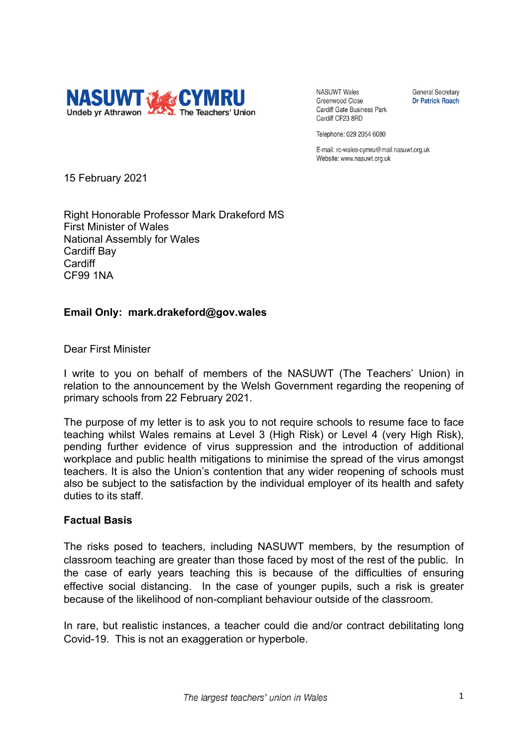

**NASUWT Wales** Greenwood Close **Cardiff Gate Business Park** Cardiff CF23 8RD

**General Secretary Dr Patrick Roach** 

Telephone: 029 2054 6080

E-mail: rc-wales-cymru@mail.nasuwt.org.uk Website: www.nasuwt.org.uk

15 February 2021

Right Honorable Professor Mark Drakeford MS First Minister of Wales National Assembly for Wales Cardiff Bay **Cardiff** CF99 1NA

## **Email Only: mark.drakeford@gov.wales**

Dear First Minister

I write to you on behalf of members of the NASUWT (The Teachers' Union) in relation to the announcement by the Welsh Government regarding the reopening of primary schools from 22 February 2021.

The purpose of my letter is to ask you to not require schools to resume face to face teaching whilst Wales remains at Level 3 (High Risk) or Level 4 (very High Risk), pending further evidence of virus suppression and the introduction of additional workplace and public health mitigations to minimise the spread of the virus amongst teachers. It is also the Union's contention that any wider reopening of schools must also be subject to the satisfaction by the individual employer of its health and safety duties to its staff.

#### **Factual Basis**

The risks posed to teachers, including NASUWT members, by the resumption of classroom teaching are greater than those faced by most of the rest of the public. In the case of early years teaching this is because of the difficulties of ensuring effective social distancing. In the case of younger pupils, such a risk is greater because of the likelihood of non-compliant behaviour outside of the classroom.

In rare, but realistic instances, a teacher could die and/or contract debilitating long Covid-19. This is not an exaggeration or hyperbole.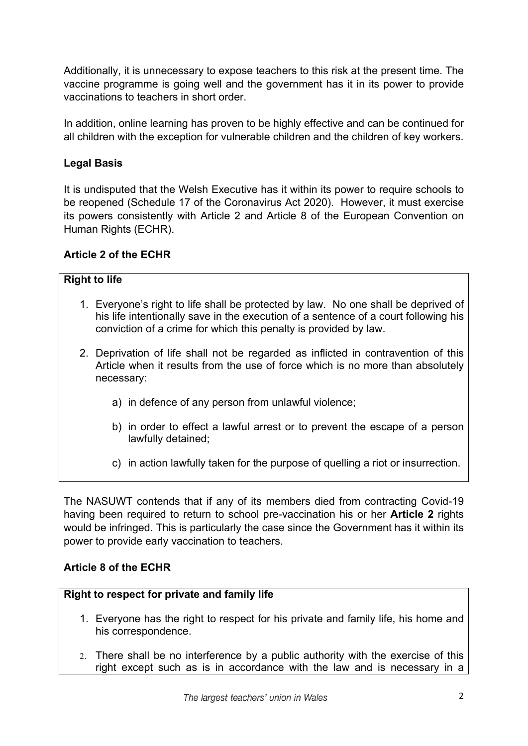Additionally, it is unnecessary to expose teachers to this risk at the present time. The vaccine programme is going well and the government has it in its power to provide vaccinations to teachers in short order.

In addition, online learning has proven to be highly effective and can be continued for all children with the exception for vulnerable children and the children of key workers.

# **Legal Basis**

It is undisputed that the Welsh Executive has it within its power to require schools to be reopened (Schedule 17 of the Coronavirus Act 2020). However, it must exercise its powers consistently with Article 2 and Article 8 of the European Convention on Human Rights (ECHR).

## **Article 2 of the ECHR**

#### **Right to life**

- 1. Everyone's right to life shall be protected by law. No one shall be deprived of his life intentionally save in the execution of a sentence of a court following his conviction of a crime for which this penalty is provided by law.
- 2. Deprivation of life shall not be regarded as inflicted in contravention of this Article when it results from the use of force which is no more than absolutely necessary:
	- a) in defence of any person from unlawful violence;
	- b) in order to effect a lawful arrest or to prevent the escape of a person lawfully detained;
	- c) in action lawfully taken for the purpose of quelling a riot or insurrection.

The NASUWT contends that if any of its members died from contracting Covid-19 having been required to return to school pre-vaccination his or her **Article 2** rights would be infringed. This is particularly the case since the Government has it within its power to provide early vaccination to teachers.

## **Article 8 of the ECHR**

#### **Right to respect for private and family life**

- 1. Everyone has the right to respect for his private and family life, his home and his correspondence.
- 2. There shall be no interference by a public authority with the exercise of this right except such as is in accordance with the law and is necessary in a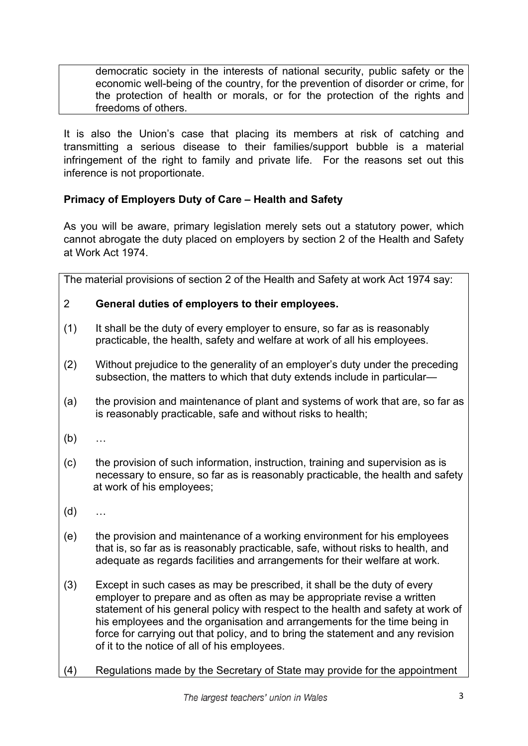democratic society in the interests of national security, public safety or the economic well-being of the country, for the prevention of disorder or crime, for the protection of health or morals, or for the protection of the rights and freedoms of others.

It is also the Union's case that placing its members at risk of catching and transmitting a serious disease to their families/support bubble is a material infringement of the right to family and private life. For the reasons set out this inference is not proportionate.

# **Primacy of Employers Duty of Care – Health and Safety**

As you will be aware, primary legislation merely sets out a statutory power, which cannot abrogate the duty placed on employers by section 2 of the Health and Safety at Work Act 1974.

The material provisions of section 2 of the Health and Safety at work Act 1974 say:

## 2 **General duties of employers to their employees.**

- (1) It shall be the duty of every employer to ensure, so far as is reasonably practicable, the health, safety and welfare at work of all his employees.
- (2) Without prejudice to the generality of an employer's duty under the preceding subsection, the matters to which that duty extends include in particular—
- (a) the provision and maintenance of plant and systems of work that are, so far as is reasonably practicable, safe and without risks to health;
- (b) …
- (c) the provision of such information, instruction, training and supervision as is necessary to ensure, so far as is reasonably practicable, the health and safety at work of his employees;
- (d) …
- (e) the provision and maintenance of a working environment for his employees that is, so far as is reasonably practicable, safe, without risks to health, and adequate as regards facilities and arrangements for their welfare at work.
- (3) Except in such cases as may be prescribed, it shall be the duty of every employer to prepare and as often as may be appropriate revise a written statement of his general policy with respect to the health and safety at work of his employees and the organisation and arrangements for the time being in force for carrying out that policy, and to bring the statement and any revision of it to the notice of all of his employees.
- (4) Regulations made by the Secretary of State may provide for the appointment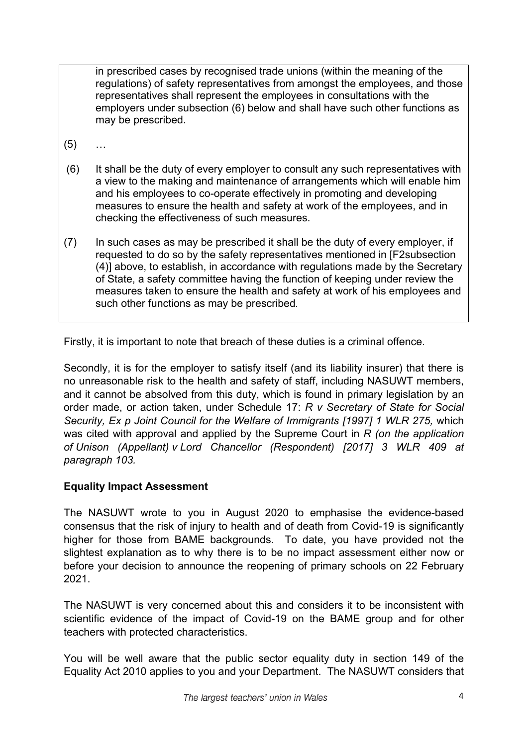in prescribed cases by recognised trade unions (within the meaning of the regulations) of safety representatives from amongst the employees, and those representatives shall represent the employees in consultations with the employers under subsection (6) below and shall have such other functions as may be prescribed.

- (5) …
- (6) It shall be the duty of every employer to consult any such representatives with a view to the making and maintenance of arrangements which will enable him and his employees to co-operate effectively in promoting and developing measures to ensure the health and safety at work of the employees, and in checking the effectiveness of such measures.
- (7) In such cases as may be prescribed it shall be the duty of every employer, if requested to do so by the safety representatives mentioned in [F2subsection (4)] above, to establish, in accordance with regulations made by the Secretary of State, a safety committee having the function of keeping under review the measures taken to ensure the health and safety at work of his employees and such other functions as may be prescribed*.*

Firstly, it is important to note that breach of these duties is a criminal offence.

Secondly, it is for the employer to satisfy itself (and its liability insurer) that there is no unreasonable risk to the health and safety of staff, including NASUWT members, and it cannot be absolved from this duty, which is found in primary legislation by an order made, or action taken, under Schedule 17: *R v Secretary of State for Social Security, Ex p Joint Council for the Welfare of Immigrants [1997] 1 WLR 275,* which was cited with approval and applied by the Supreme Court in *R (on the application of Unison (Appellant) v Lord Chancellor (Respondent) [2017] 3 WLR 409 at paragraph 103.*

## **Equality Impact Assessment**

The NASUWT wrote to you in August 2020 to emphasise the evidence-based consensus that the risk of injury to health and of death from Covid-19 is significantly higher for those from BAME backgrounds. To date, you have provided not the slightest explanation as to why there is to be no impact assessment either now or before your decision to announce the reopening of primary schools on 22 February 2021.

The NASUWT is very concerned about this and considers it to be inconsistent with scientific evidence of the impact of Covid-19 on the BAME group and for other teachers with protected characteristics.

You will be well aware that the public sector equality duty in section 149 of the Equality Act 2010 applies to you and your Department. The NASUWT considers that